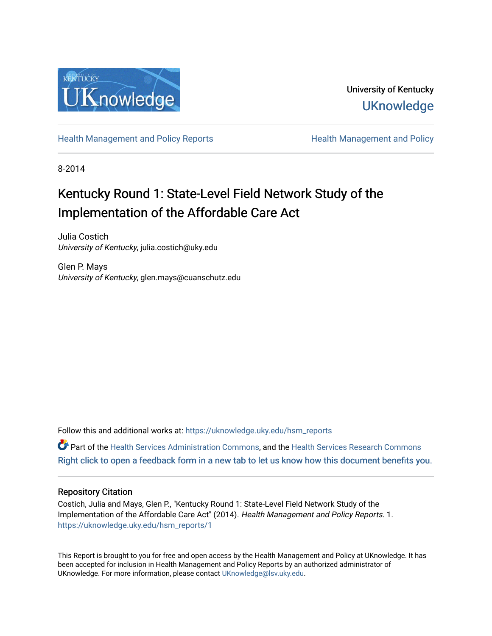

University of Kentucky **UKnowledge** 

[Health Management and Policy Reports](https://uknowledge.uky.edu/hsm_reports) **Health Management and Policy Health Management and Policy** 

8-2014

## Kentucky Round 1: State-Level Field Network Study of the Implementation of the Affordable Care Act

Julia Costich University of Kentucky, julia.costich@uky.edu

Glen P. Mays University of Kentucky, glen.mays@cuanschutz.edu

Follow this and additional works at: [https://uknowledge.uky.edu/hsm\\_reports](https://uknowledge.uky.edu/hsm_reports?utm_source=uknowledge.uky.edu%2Fhsm_reports%2F1&utm_medium=PDF&utm_campaign=PDFCoverPages)

Part of the [Health Services Administration Commons,](http://network.bepress.com/hgg/discipline/747?utm_source=uknowledge.uky.edu%2Fhsm_reports%2F1&utm_medium=PDF&utm_campaign=PDFCoverPages) and the [Health Services Research Commons](http://network.bepress.com/hgg/discipline/816?utm_source=uknowledge.uky.edu%2Fhsm_reports%2F1&utm_medium=PDF&utm_campaign=PDFCoverPages) [Right click to open a feedback form in a new tab to let us know how this document benefits you.](https://uky.az1.qualtrics.com/jfe/form/SV_9mq8fx2GnONRfz7)

#### Repository Citation

Costich, Julia and Mays, Glen P., "Kentucky Round 1: State-Level Field Network Study of the Implementation of the Affordable Care Act" (2014). Health Management and Policy Reports. 1. [https://uknowledge.uky.edu/hsm\\_reports/1](https://uknowledge.uky.edu/hsm_reports/1?utm_source=uknowledge.uky.edu%2Fhsm_reports%2F1&utm_medium=PDF&utm_campaign=PDFCoverPages)

This Report is brought to you for free and open access by the Health Management and Policy at UKnowledge. It has been accepted for inclusion in Health Management and Policy Reports by an authorized administrator of UKnowledge. For more information, please contact [UKnowledge@lsv.uky.edu](mailto:UKnowledge@lsv.uky.edu).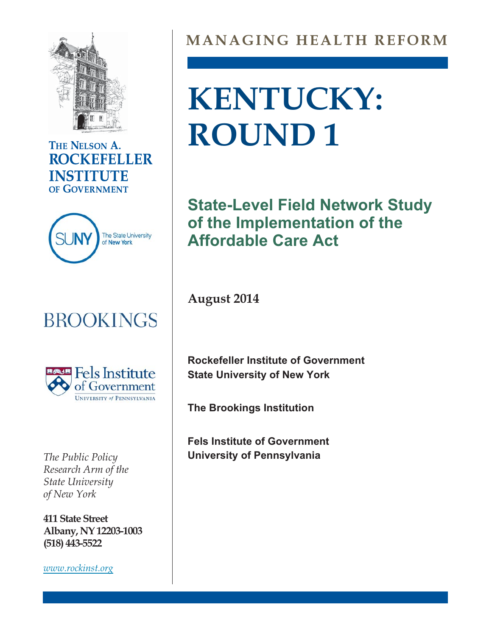

### THE NELSON A. **ROCKEFELLER INSTITUTE** OF GOVERNMENT



## **BROOKINGS**



*The Public Policy* **University of Pennsylvania** *State University* of Nezo York *of New York*

**411 State Street Albany, NY 12203-1003 (518) 443-5522**

*[www.rockinst.org](http://www.rockinst.org)*

## **MANAGING HEALTH REFORM**

# **KENTUCKY: ROUND 1**

**State-Level Field Network Study of the Implementation of the Affordable Care Act**

**August 2014**

**Rockefeller Institute of Government State University of New York**

**The Brookings Institution**

**Fels Institute of Government**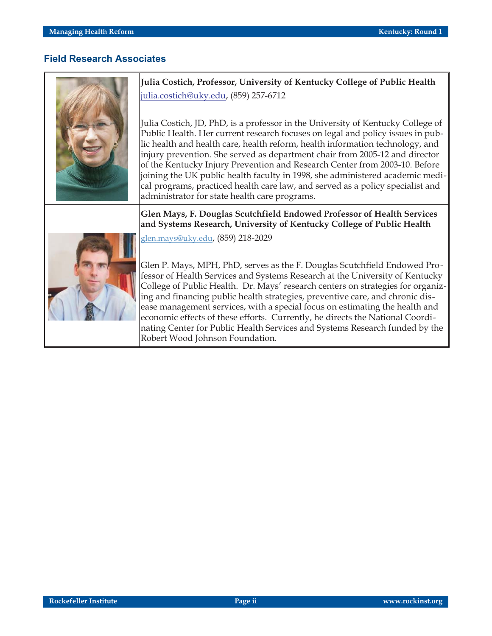#### **Field Research Associates**



**Julia Costich, Professor, University of Kentucky College of Public Health** julia.costich@uky.edu, (859) 257-6712

Julia Costich, JD, PhD, is a professor in the University of Kentucky College of Public Health. Her current research focuses on legal and policy issues in public health and health care, health reform, health information technology, and injury prevention. She served as department chair from 2005-12 and director of the Kentucky Injury Prevention and Research Center from 2003-10. Before joining the UK public health faculty in 1998, she administered academic medical programs, practiced health care law, and served as a policy specialist and administrator for state health care programs.

#### **Glen Mays, F. Douglas Scutchfield Endowed Professor of Health Services and Systems Research, University of Kentucky College of Public Health**



[glen.mays@uky.edu,](mailto:glen.mays@uky.edu) (859) 218-2029

Glen P. Mays, MPH, PhD, serves as the F. Douglas Scutchfield Endowed Professor of Health Services and Systems Research at the University of Kentucky College of Public Health. Dr. Mays' research centers on strategies for organizing and financing public health strategies, preventive care, and chronic disease management services, with a special focus on estimating the health and economic effects of these efforts. Currently, he directs the National Coordinating Center for Public Health Services and Systems Research funded by the Robert Wood Johnson Foundation.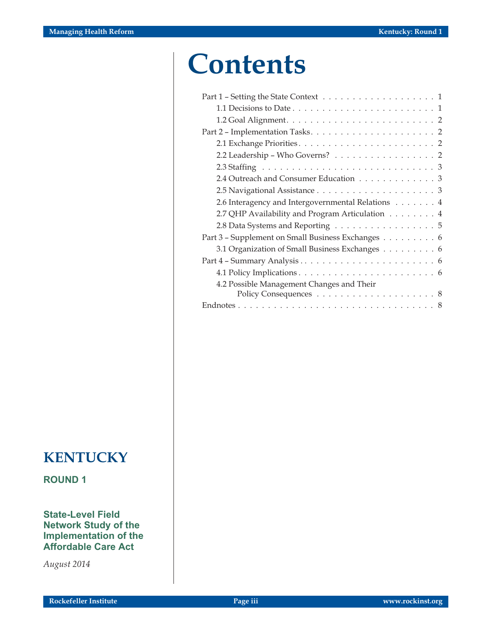## **Contents**

| 1.1 Decisions to Date $\dots \dots \dots \dots \dots \dots \dots \dots \dots \dots \dots$ |
|-------------------------------------------------------------------------------------------|
|                                                                                           |
|                                                                                           |
|                                                                                           |
| 2.2 Leadership - Who Governs? 2                                                           |
|                                                                                           |
| 2.4 Outreach and Consumer Education 3                                                     |
|                                                                                           |
| 2.6 Interagency and Intergovernmental Relations 4                                         |
| 2.7 QHP Availability and Program Articulation 4                                           |
| 2.8 Data Systems and Reporting 5                                                          |
| Part 3 - Supplement on Small Business Exchanges 6                                         |
| 3.1 Organization of Small Business Exchanges 6                                            |
|                                                                                           |
|                                                                                           |
| 4.2 Possible Management Changes and Their                                                 |
|                                                                                           |
|                                                                                           |
|                                                                                           |

## **KENTUCKY**

**ROUND 1**

**State-Level Field Network Study of the Implementation of the Affordable Care Act**

*August 2014*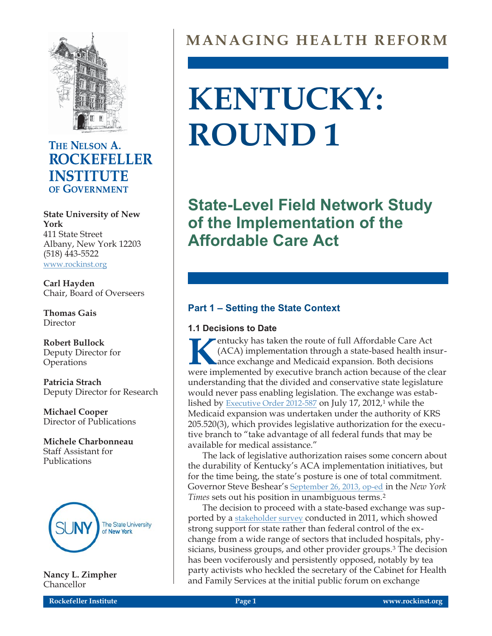

### THE NELSON A. **ROCKEFELLER INSTITUTE** OF GOVERNMENT

**State University of New York** 411 State Street Albany, New York 12203 (518) 443-5522 [www.rockinst.org](http://www.rockinst.org)

**Carl Hayden** Chair, Board of Overseers

**Thomas Gais** Director

**Robert Bullock** Deputy Director for **Operations** 

**Patricia Strach** Deputy Director for Research

**Michael Cooper** Director of Publications

**Michele Charbonneau** Staff Assistant for Publications



**Nancy L. Zimpher** Chancellor

## **MANAGING HEALTH REFORM**

# **KENTUCKY: ROUND 1**

**State-Level Field Network Study of the Implementation of the Affordable Care Act**

#### **Part 1 – Setting the State Context**

#### **1.1 Decisions to Date**

**Kentucky has taken the route of full Affordable Care Act** (ACA) implementation through a state-based health instance exchange and Medicaid expansion. Both decisions were implemented by executive branch action because of t (ACA) implementation through a state-based health insurance exchange and Medicaid expansion. Both decisions were implemented by executive branch action because of the clear understanding that the divided and conservative state legislature would never pass enabling legislation. The exchange was estab-lished by [Executive Order 2012-587](http://apps.sos.ky.gov/Executive/Journal/execjournalimages/2012-MISC-2012-0587-222943.pdf) on July 17, 2012,<sup>1</sup> while the Medicaid expansion was undertaken under the authority of KRS 205.520(3), which provides legislative authorization for the executive branch to "take advantage of all federal funds that may be available for medical assistance."

The lack of legislative authorization raises some concern about the durability of Kentucky's ACA implementation initiatives, but for the time being, the state's posture is one of total commitment. Governor Steve Beshear's [September 26, 2013, op-ed](http://www.nytimes.com/2013/09/27/opinion/my-state-needs-obamacare-now.html?_r=1&) in the *New York Times* sets out his position in unambiguous terms.2

The decision to proceed with a state-based exchange was supported by a [stakeholder survey](http://healthbenefitexchange.ky.gov/SiteCollectionDocuments/Stakeholder%20Report%202012.pdf) conducted in 2011, which showed strong support for state rather than federal control of the exchange from a wide range of sectors that included hospitals, physicians, business groups, and other provider groups.<sup>3</sup> The decision has been vociferously and persistently opposed, notably by tea party activists who heckled the secretary of the Cabinet for Health and Family Services at the initial public forum on exchange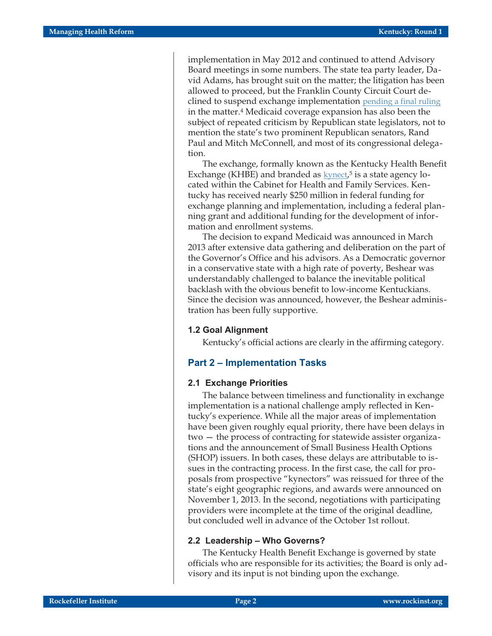implementation in May 2012 and continued to attend Advisory Board meetings in some numbers. The state tea party leader, David Adams, has brought suit on the matter; the litigation has been allowed to proceed, but the Franklin County Circuit Court declined to suspend exchange implementation [pending a final ruling](http://hr.cch.com/hld/adamsvkentucky1.pdf) in the matter.4 Medicaid coverage expansion has also been the subject of repeated criticism by Republican state legislators, not to mention the state's two prominent Republican senators, Rand Paul and Mitch McConnell, and most of its congressional delegation.

The exchange, formally known as the Kentucky Health Benefit Exchange (KHBE) and branded as  $k$ ynect,<sup>5</sup> is a state agency located within the Cabinet for Health and Family Services. Kentucky has received nearly \$250 million in federal funding for exchange planning and implementation, including a federal planning grant and additional funding for the development of information and enrollment systems.

The decision to expand Medicaid was announced in March 2013 after extensive data gathering and deliberation on the part of the Governor's Office and his advisors. As a Democratic governor in a conservative state with a high rate of poverty, Beshear was understandably challenged to balance the inevitable political backlash with the obvious benefit to low-income Kentuckians. Since the decision was announced, however, the Beshear administration has been fully supportive.

#### **1.2 Goal Alignment**

Kentucky's official actions are clearly in the affirming category.

#### **Part 2 – Implementation Tasks**

#### **2.1 Exchange Priorities**

The balance between timeliness and functionality in exchange implementation is a national challenge amply reflected in Kentucky's experience. While all the major areas of implementation have been given roughly equal priority, there have been delays in two — the process of contracting for statewide assister organizations and the announcement of Small Business Health Options (SHOP) issuers. In both cases, these delays are attributable to issues in the contracting process. In the first case, the call for proposals from prospective "kynectors" was reissued for three of the state's eight geographic regions, and awards were announced on November 1, 2013. In the second, negotiations with participating providers were incomplete at the time of the original deadline, but concluded well in advance of the October 1st rollout.

#### **2.2 Leadership – Who Governs?**

The Kentucky Health Benefit Exchange is governed by state officials who are responsible for its activities; the Board is only advisory and its input is not binding upon the exchange.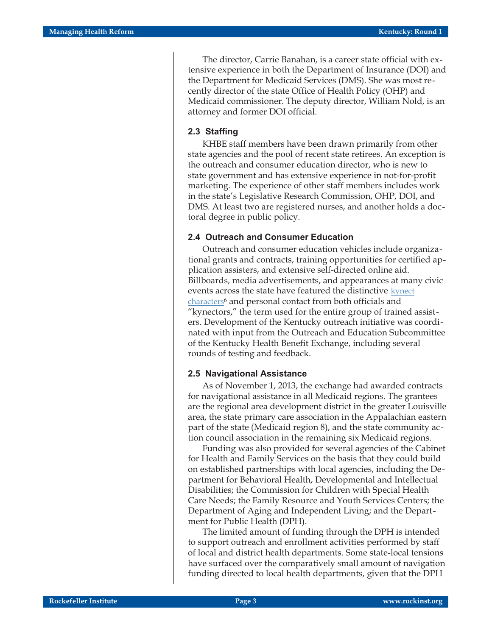The director, Carrie Banahan, is a career state official with extensive experience in both the Department of Insurance (DOI) and the Department for Medicaid Services (DMS). She was most recently director of the state Office of Health Policy (OHP) and Medicaid commissioner. The deputy director, William Nold, is an attorney and former DOI official.

#### **2.3 Staffing**

KHBE staff members have been drawn primarily from other state agencies and the pool of recent state retirees. An exception is the outreach and consumer education director, who is new to state government and has extensive experience in not-for-profit marketing. The experience of other staff members includes work in the state's Legislative Research Commission, OHP, DOI, and DMS. At least two are registered nurses, and another holds a doctoral degree in public policy.

#### **2.4 Outreach and Consumer Education**

Outreach and consumer education vehicles include organizational grants and contracts, training opportunities for certified application assisters, and extensive self-directed online aid. Billboards, media advertisements, and appearances at many civic events across the state have featured the distinctive [kynect](https://kyenroll.ky.gov/) [characters6](https://kyenroll.ky.gov/) and personal contact from both officials and "kynectors," the term used for the entire group of trained assisters. Development of the Kentucky outreach initiative was coordinated with input from the Outreach and Education Subcommittee of the Kentucky Health Benefit Exchange, including several rounds of testing and feedback.

#### **2.5 Navigational Assistance**

As of November 1, 2013, the exchange had awarded contracts for navigational assistance in all Medicaid regions. The grantees are the regional area development district in the greater Louisville area, the state primary care association in the Appalachian eastern part of the state (Medicaid region 8), and the state community action council association in the remaining six Medicaid regions.

Funding was also provided for several agencies of the Cabinet for Health and Family Services on the basis that they could build on established partnerships with local agencies, including the Department for Behavioral Health, Developmental and Intellectual Disabilities; the Commission for Children with Special Health Care Needs; the Family Resource and Youth Services Centers; the Department of Aging and Independent Living; and the Department for Public Health (DPH).

The limited amount of funding through the DPH is intended to support outreach and enrollment activities performed by staff of local and district health departments. Some state-local tensions have surfaced over the comparatively small amount of navigation funding directed to local health departments, given that the DPH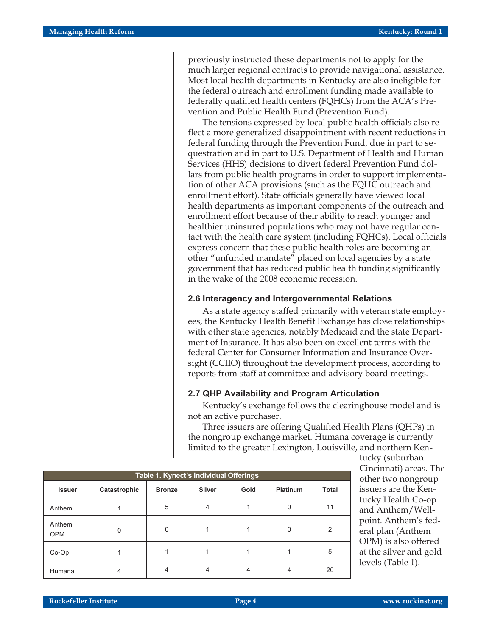previously instructed these departments not to apply for the much larger regional contracts to provide navigational assistance. Most local health departments in Kentucky are also ineligible for the federal outreach and enrollment funding made available to federally qualified health centers (FQHCs) from the ACA's Prevention and Public Health Fund (Prevention Fund).

The tensions expressed by local public health officials also reflect a more generalized disappointment with recent reductions in federal funding through the Prevention Fund, due in part to sequestration and in part to U.S. Department of Health and Human Services (HHS) decisions to divert federal Prevention Fund dollars from public health programs in order to support implementation of other ACA provisions (such as the FQHC outreach and enrollment effort). State officials generally have viewed local health departments as important components of the outreach and enrollment effort because of their ability to reach younger and healthier uninsured populations who may not have regular contact with the health care system (including FQHCs). Local officials express concern that these public health roles are becoming another "unfunded mandate" placed on local agencies by a state government that has reduced public health funding significantly in the wake of the 2008 economic recession.

#### **2.6 Interagency and Intergovernmental Relations**

As a state agency staffed primarily with veteran state employees, the Kentucky Health Benefit Exchange has close relationships with other state agencies, notably Medicaid and the state Department of Insurance. It has also been on excellent terms with the federal Center for Consumer Information and Insurance Oversight (CCIIO) throughout the development process, according to reports from staff at committee and advisory board meetings.

#### **2.7 QHP Availability and Program Articulation**

Kentucky's exchange follows the clearinghouse model and is not an active purchaser.

Three issuers are offering Qualified Health Plans (QHPs) in the nongroup exchange market. Humana coverage is currently limited to the greater Lexington, Louisville, and northern Ken-

| Table 1. Kynect's Individual Offerings |              |               |               |      |                 |       |  |  |  |  |
|----------------------------------------|--------------|---------------|---------------|------|-----------------|-------|--|--|--|--|
| <b>Issuer</b>                          | Catastrophic | <b>Bronze</b> | <b>Silver</b> | Gold | <b>Platinum</b> | Total |  |  |  |  |
| Anthem                                 |              | 5             | 4             |      | $\Omega$        | 11    |  |  |  |  |
| Anthem<br><b>OPM</b>                   |              | 0             |               |      | O               | 2     |  |  |  |  |
| $Co-Op$                                |              |               |               |      |                 | 5     |  |  |  |  |
| Humana                                 |              |               |               |      |                 | 20    |  |  |  |  |

tucky (suburban Cincinnati) areas. The other two nongroup issuers are the Kentucky Health Co-op and Anthem/Wellpoint. Anthem's federal plan (Anthem OPM) is also offered at the silver and gold levels (Table 1).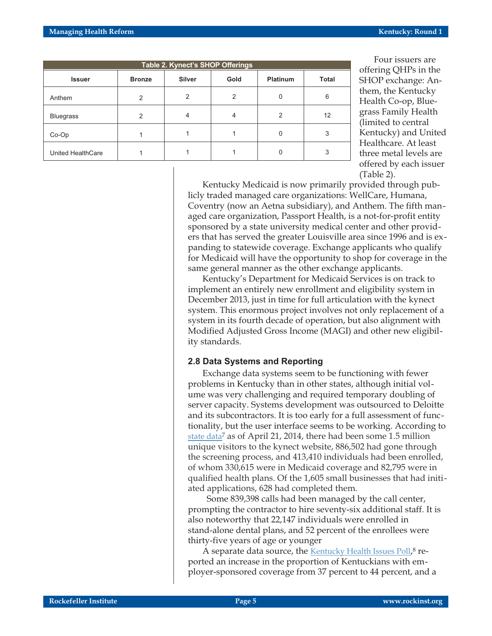| Table 2. Kynect's SHOP Offerings |               |                |               |                 |       |  |  |  |  |
|----------------------------------|---------------|----------------|---------------|-----------------|-------|--|--|--|--|
| <b>Issuer</b>                    | <b>Bronze</b> | <b>Silver</b>  | Gold          | <b>Platinum</b> | Total |  |  |  |  |
| Anthem                           | $\mathcal{P}$ | $\overline{2}$ | $\mathcal{P}$ | $\Omega$        | 6     |  |  |  |  |
| <b>Bluegrass</b>                 | $\mathcal{P}$ | 4              | 4             | 2               | 12    |  |  |  |  |
| Co-Op                            |               |                |               | 0               | 3     |  |  |  |  |
| United HealthCare                |               |                |               | 0               | 3     |  |  |  |  |

Four issuers are offering QHPs in the SHOP exchange: Anthem, the Kentucky Health Co-op, Bluegrass Family Health (limited to central Kentucky) and United Healthcare. At least three metal levels are offered by each issuer (Table 2).

Kentucky Medicaid is now primarily provided through publicly traded managed care organizations: WellCare, Humana, Coventry (now an Aetna subsidiary), and Anthem. The fifth managed care organization, Passport Health, is a not-for-profit entity sponsored by a state university medical center and other providers that has served the greater Louisville area since 1996 and is expanding to statewide coverage. Exchange applicants who qualify for Medicaid will have the opportunity to shop for coverage in the same general manner as the other exchange applicants.

Kentucky's Department for Medicaid Services is on track to implement an entirely new enrollment and eligibility system in December 2013, just in time for full articulation with the kynect system. This enormous project involves not only replacement of a system in its fourth decade of operation, but also alignment with Modified Adjusted Gross Income (MAGI) and other new eligibility standards.

#### **2.8 Data Systems and Reporting**

Exchange data systems seem to be functioning with fewer problems in Kentucky than in other states, although initial volume was very challenging and required temporary doubling of server capacity. Systems development was outsourced to Deloitte and its subcontractors. It is too early for a full assessment of functionality, but the user interface seems to be working. According to [state data](http://governor.ky.gov/healthierky/Pages/default.aspx)7 as of April 21, 2014, there had been some 1.5 million unique visitors to the kynect website, 886,502 had gone through the screening process, and 413,410 individuals had been enrolled, of whom 330,615 were in Medicaid coverage and 82,795 were in qualified health plans. Of the 1,605 small businesses that had initiated applications, 628 had completed them.

Some 839,398 calls had been managed by the call center, prompting the contractor to hire seventy-six additional staff. It is also noteworthy that 22,147 individuals were enrolled in stand-alone dental plans, and 52 percent of the enrollees were thirty-five years of age or younger

A separate data source, the [Kentucky Health Issues Poll](http://www.healthy-ky.org/news-events/newsroom/more-kentuckians-report-having-health-insurance),<sup>8</sup> reported an increase in the proportion of Kentuckians with employer-sponsored coverage from 37 percent to 44 percent, and a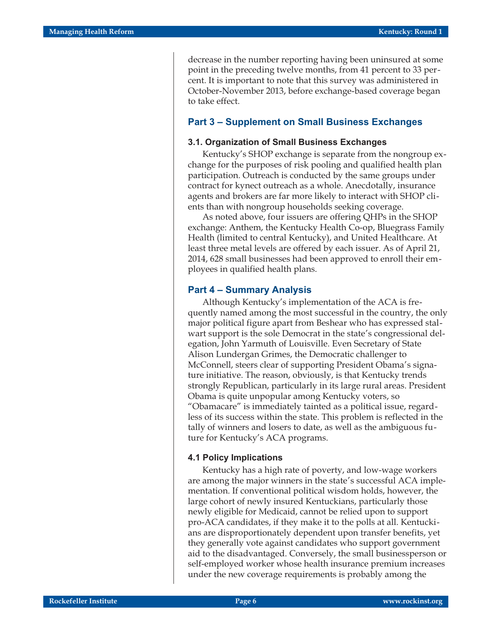decrease in the number reporting having been uninsured at some point in the preceding twelve months, from 41 percent to 33 percent. It is important to note that this survey was administered in October-November 2013, before exchange-based coverage began to take effect.

#### **Part 3 – Supplement on Small Business Exchanges**

#### **3.1. Organization of Small Business Exchanges**

Kentucky's SHOP exchange is separate from the nongroup exchange for the purposes of risk pooling and qualified health plan participation. Outreach is conducted by the same groups under contract for kynect outreach as a whole. Anecdotally, insurance agents and brokers are far more likely to interact with SHOP clients than with nongroup households seeking coverage.

As noted above, four issuers are offering QHPs in the SHOP exchange: Anthem, the Kentucky Health Co-op, Bluegrass Family Health (limited to central Kentucky), and United Healthcare. At least three metal levels are offered by each issuer. As of April 21, 2014, 628 small businesses had been approved to enroll their employees in qualified health plans.

#### **Part 4 – Summary Analysis**

Although Kentucky's implementation of the ACA is frequently named among the most successful in the country, the only major political figure apart from Beshear who has expressed stalwart support is the sole Democrat in the state's congressional delegation, John Yarmuth of Louisville. Even Secretary of State Alison Lundergan Grimes, the Democratic challenger to McConnell, steers clear of supporting President Obama's signature initiative. The reason, obviously, is that Kentucky trends strongly Republican, particularly in its large rural areas. President Obama is quite unpopular among Kentucky voters, so "Obamacare" is immediately tainted as a political issue, regardless of its success within the state. This problem is reflected in the tally of winners and losers to date, as well as the ambiguous future for Kentucky's ACA programs.

#### **4.1 Policy Implications**

Kentucky has a high rate of poverty, and low-wage workers are among the major winners in the state's successful ACA implementation. If conventional political wisdom holds, however, the large cohort of newly insured Kentuckians, particularly those newly eligible for Medicaid, cannot be relied upon to support pro-ACA candidates, if they make it to the polls at all. Kentuckians are disproportionately dependent upon transfer benefits, yet they generally vote against candidates who support government aid to the disadvantaged. Conversely, the small businessperson or self-employed worker whose health insurance premium increases under the new coverage requirements is probably among the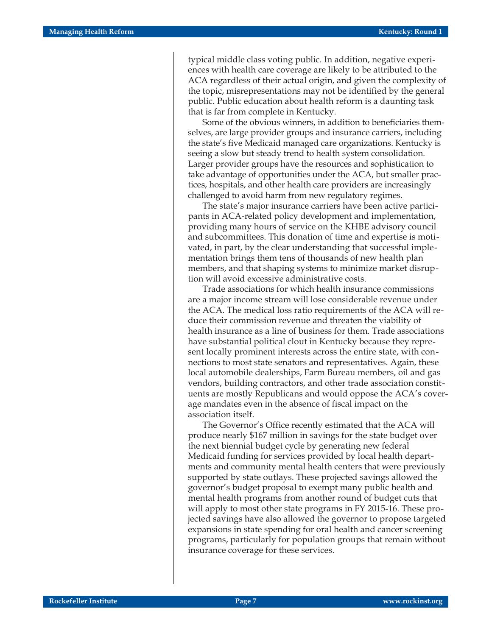typical middle class voting public. In addition, negative experiences with health care coverage are likely to be attributed to the ACA regardless of their actual origin, and given the complexity of the topic, misrepresentations may not be identified by the general public. Public education about health reform is a daunting task that is far from complete in Kentucky.

Some of the obvious winners, in addition to beneficiaries themselves, are large provider groups and insurance carriers, including the state's five Medicaid managed care organizations. Kentucky is seeing a slow but steady trend to health system consolidation. Larger provider groups have the resources and sophistication to take advantage of opportunities under the ACA, but smaller practices, hospitals, and other health care providers are increasingly challenged to avoid harm from new regulatory regimes.

The state's major insurance carriers have been active participants in ACA-related policy development and implementation, providing many hours of service on the KHBE advisory council and subcommittees. This donation of time and expertise is motivated, in part, by the clear understanding that successful implementation brings them tens of thousands of new health plan members, and that shaping systems to minimize market disruption will avoid excessive administrative costs.

Trade associations for which health insurance commissions are a major income stream will lose considerable revenue under the ACA. The medical loss ratio requirements of the ACA will reduce their commission revenue and threaten the viability of health insurance as a line of business for them. Trade associations have substantial political clout in Kentucky because they represent locally prominent interests across the entire state, with connections to most state senators and representatives. Again, these local automobile dealerships, Farm Bureau members, oil and gas vendors, building contractors, and other trade association constituents are mostly Republicans and would oppose the ACA's coverage mandates even in the absence of fiscal impact on the association itself.

The Governor's Office recently estimated that the ACA will produce nearly \$167 million in savings for the state budget over the next biennial budget cycle by generating new federal Medicaid funding for services provided by local health departments and community mental health centers that were previously supported by state outlays. These projected savings allowed the governor's budget proposal to exempt many public health and mental health programs from another round of budget cuts that will apply to most other state programs in FY 2015-16. These projected savings have also allowed the governor to propose targeted expansions in state spending for oral health and cancer screening programs, particularly for population groups that remain without insurance coverage for these services.